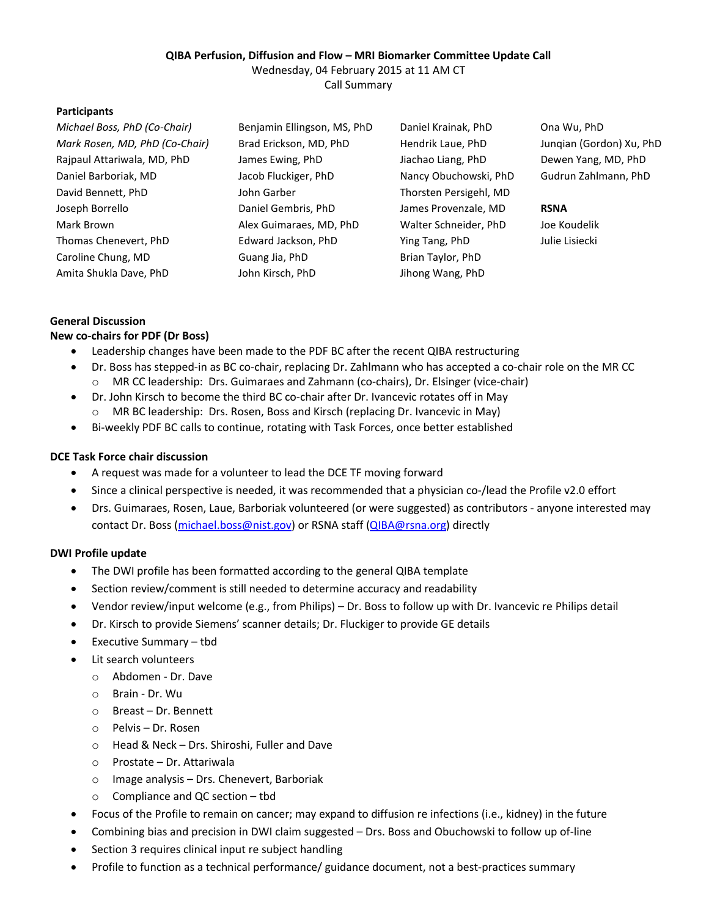#### **QIBA Perfusion, Diffusion and Flow – MRI Biomarker Committee Update Call**

Wednesday, 04 February 2015 at 11 AM CT Call Summary

#### **Participants**

| Michael Boss, PhD (Co-Chair)   | Benjamin Ellingson, MS, PhD | Daniel Krainak, PhD    | Ona Wu, PhD              |
|--------------------------------|-----------------------------|------------------------|--------------------------|
| Mark Rosen, MD, PhD (Co-Chair) | Brad Erickson, MD, PhD      | Hendrik Laue, PhD      | Jungian (Gordon) Xu, PhD |
| Rajpaul Attariwala, MD, PhD    | James Ewing, PhD            | Jiachao Liang, PhD     | Dewen Yang, MD, PhD      |
| Daniel Barboriak, MD           | Jacob Fluckiger, PhD        | Nancy Obuchowski, PhD  | Gudrun Zahlmann, PhD     |
| David Bennett, PhD             | John Garber                 | Thorsten Persigehl, MD |                          |
| Joseph Borrello                | Daniel Gembris, PhD         | James Provenzale, MD   | <b>RSNA</b>              |
| Mark Brown                     | Alex Guimaraes, MD, PhD     | Walter Schneider, PhD  | Joe Koudelik             |
| Thomas Chenevert, PhD          | Edward Jackson, PhD         | Ying Tang, PhD         | Julie Lisiecki           |
| Caroline Chung, MD             | Guang Jia, PhD              | Brian Taylor, PhD      |                          |
| Amita Shukla Dave, PhD         | John Kirsch, PhD            | Jihong Wang, PhD       |                          |

# **General Discussion**

## **New co-chairs for PDF (Dr Boss)**

- Leadership changes have been made to the PDF BC after the recent QIBA restructuring
- Dr. Boss has stepped-in as BC co-chair, replacing Dr. Zahlmann who has accepted a co-chair role on the MR CC o MR CC leadership: Drs. Guimaraes and Zahmann (co-chairs), Dr. Elsinger (vice-chair)
- Dr. John Kirsch to become the third BC co-chair after Dr. Ivancevic rotates off in May MR BC leadership: Drs. Rosen, Boss and Kirsch (replacing Dr. Ivancevic in May)
- Bi-weekly PDF BC calls to continue, rotating with Task Forces, once better established

### **DCE Task Force chair discussion**

- A request was made for a volunteer to lead the DCE TF moving forward
- Since a clinical perspective is needed, it was recommended that a physician co-/lead the Profile v2.0 effort
- Drs. Guimaraes, Rosen, Laue, Barboriak volunteered (or were suggested) as contributors anyone interested may contact Dr. Boss (michael.boss@nist.gov) or RSNA staff (QIBA@rsna.org) directly

#### **DWI Profile update**

- The DWI profile has been formatted according to the general QIBA template
- Section review/comment is still needed to determine accuracy and readability
- Vendor review/input welcome (e.g., from Philips) Dr. Boss to follow up with Dr. Ivancevic re Philips detail
- Dr. Kirsch to provide Siemens' scanner details; Dr. Fluckiger to provide GE details
- Executive Summary tbd
- Lit search volunteers
	- o Abdomen Dr. Dave
	- o Brain Dr. Wu
	- o Breast Dr. Bennett
	- o Pelvis Dr. Rosen
	- o Head & Neck Drs. Shiroshi, Fuller and Dave
	- o Prostate Dr. Attariwala
	- o Image analysis Drs. Chenevert, Barboriak
	- o Compliance and QC section tbd
- Focus of the Profile to remain on cancer; may expand to diffusion re infections (i.e., kidney) in the future
- Combining bias and precision in DWI claim suggested Drs. Boss and Obuchowski to follow up of-line
- Section 3 requires clinical input re subject handling
- Profile to function as a technical performance/ guidance document, not a best-practices summary